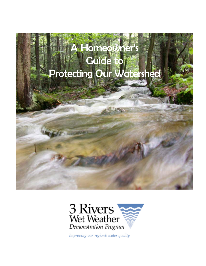



Improving our region's water quality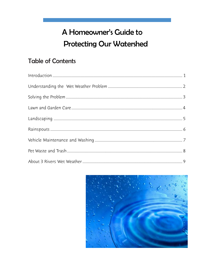# A Homeowner's Guide to **Protecting Our Watershed**

### **Table of Contents**

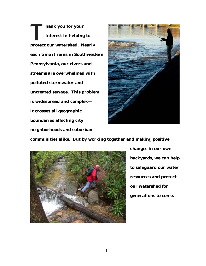**hank you for your interest in helping to protect our watershed. Nearly**<br> **protect our watershed. Nearly each time it rains in Southwestern Pennsylvania, our rivers and streams are overwhelmed with polluted stormwater and untreated sewage. This problem is widespread and complex it crosses all geographic boundaries affecting city neighborhoods and suburban**



**communities alike. But by working together and making positive**



**changes in our own backyards, we can help to safeguard our water resources and protect our watershed for generations to come.**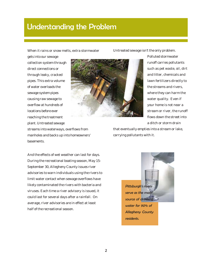# Understanding the Problem

When it rains or snow melts, extra stormwater

Untreated sewage isn't the only problem.

gets into our sewage collection system through direct connections or through leaky, cracked pipes. This extra volume of water overloads the sewage system pipes causing raw sewage to overflow at hundreds of locations before ever reaching the treatment plant. Untreated sewage



Polluted stormwater runoff carries pollutants such as pet waste, oil, dirt and litter, chemicals and lawn fertilizers directly to the streams and rivers, where they can harm the water quality. Even if your home is not near a stream or river, the runoff flows down the street into a ditch or storm drain

streams into waterways, overflows from manholes and backs up into homeowners' basements.

that eventually empties into a stream or lake, carrying pollutants with it.

And the effects of wet weather can last for days. During the recreational boating season, May 15- September 30, Allegheny County issues river advisories to warn individuals using the rivers to limit water contact when sewage overflows have likely contaminated the rivers with bacteria and viruses. Each time a river advisory is issued, it could last for several days after a rainfall. On average, river advisories are in effect at least half of the recreational season.

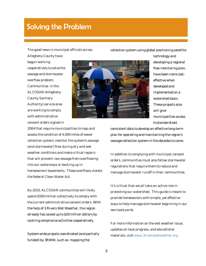### Solving the Problem

The good news is municipal officials across

collection system using global positioning satellite

Allegheny County have begun working cooperatively to solve the sewage and stormwater overflow problem. Communities in the ALCOSAN (Allegheny County Sanitary Authority) service area are working to comply with administrative consent orders signed in



technology and developing a regional flow monitoring plan, have been more costeffective when developed and implemented on a watershed basis. These projects also will give municipalities access to standardized,

2004 that require municipalities to map and assess the condition of 4,000 miles of sewer collection system, monitor the system's sewage (and stormwater) flow during dry and wet weather conditions and make critical repairs that will prevent raw sewage from overflowing into our waterways or backing up in homeowners' basements. These overflows violate the federal Clean Water Act.

By 2010, ALCOSAN communities will likely spend \$500 million collectively to comply with the current administrative consent orders. With the help of 3 Rivers Wet Weather, the region already has saved up to \$20 million dollars by tackling compliance activities cooperatively.

System-wide projects coordinated (and partially funded) by 3RWW, such as mapping the

consistent data to develop an effective long-term plan for operating and maintaining the region's sewage collection system in the decades to come.

In addition to complying with municipal consent orders, communities must also follow stormwater regulations that require them to reduce and manage stormwater runoff in their communities.

It's critical that we all take an active role in protecting our watershed. This guide is meant to provide homeowners with simple, yet effective ways to help manage stormwater beginning in our own backyards.

For more information on the wet weather issue, updates on local progress, and educational materials, visit www.3riverswetweather.org.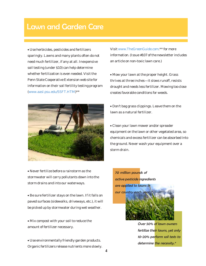### Lawn and Garden Care

• Use herbicides, pesticides and fertilizers sparingly. Lawns and many plants often do not need much fertilizer, if any at all. Inexpensive soil testing (under \$10) can help determine whether fertilization is even needed. Visit the Penn State Cooperative Extension web site for information on their soil fertility testing program (www.aasl.psu.edu/SSFT.HTM)\*\*



• Never fertilize before a rainstorm as the stormwater will carry pollutants down into the storm drains and into our waterways.

• Be sure fertilizer stays on the lawn. If it falls on paved surfaces (sidewalks, driveways, etc.), it will be picked up by stormwater during wet weather.

• Mix compost with your soil to reduce the amount of fertilizer necessary.

• Use environmentally friendly garden products. Organic fertilizers release nutrients more slowly. Visit www.TheGreenGuide.com.\*\* for more information. (Issue #107 of the newsletter includes an article on non-toxic lawn care.)

• Mow your lawn at the proper height. Grass thrives at three inches—it slows runoff, resists drought and needs less fertilizer. Mowing too close creates favorable conditions for weeds.

• Don't bag grass clippings. Leave them on the lawn as a natural fertilizer.

• Clean your lawn mower and/or spreader equipment on the lawn or other vegetated area, so chemicals and excess fertilizer can be absorbed into the ground. Never wash your equipment over a storm drain.

70 million pounds of active pesticide ingredients are applied to lawns in our country each year.

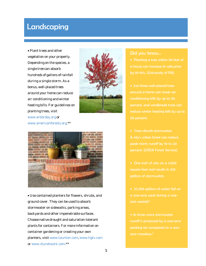### **Landscaping**

• Plant trees and other vegetation on your property. Depending on the species, a single tree can absorb hundreds of gallons of rainfall during a single storm. As a bonus, well-placed trees around your home can reduce air conditioning and winter heating bills. For guidelines on planting trees, visit www.arborday.org or www.americanforests.org.\*\*





• Use contained planters for flowers, shrubs, and ground cover. They can be used to absorb stormwater on sidewalks, parking areas, backyards and other impenetrable surfaces. Choose native drought and saturation-tolerant plants for containers. For more information on container gardening or creating your own planters, visit www.taunton.com, www.hgtv.com or www.diynetwork.com.\*\*

#### Did you know...

by 10-15%. (University of PA)

around a home can lower air conditioning bills by up to 50 reduce winter heating bills by up to 30 percent.

• Trees absorb stormwater. A city's urban forest can reduce percent. (USDA Forest Service)

• One inch of rain on a 1,000 square foot roof results in 625 gallons of stormwater.

• 27,200 gallons of water fall on a one-acre yard during a oneinch rainfall.\*

• 16 times more stormwater parking lot compared to a oneacre meadow.\*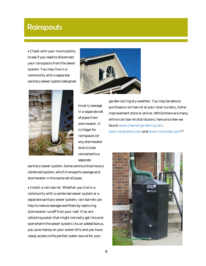### **Rainspouts**

• Check with your municipality to see if you need to disconnect your rainspouts from the sewer system. You may live in a community with a separate sanitary sewer system designed





to carry sewage in a separate set of pipes from stormwater. It is illegal for rainspouts (or any stormwater drain) to be connected to a separate

sanitary sewer system. Some communities have a combined system, which transports sewage and stormwater in the same set of pipes.

• Install a rain barrel. Whether you live in a community with a combined sewer system or a separate sanitary sewer system, rain barrels can help to reduce sewage overflows by capturing stormwater runoff from your roof. (You are collecting water that might normally get into and overwhelm the sewer system.) As an added bonus, you save money on your water bills and you have ready access to the perfect water source for your

garden during dry weather. You may be able to purchase a rain barrel at your local nursery, home improvement store or online. (While there are many online rain barrel distributors, here are a few we found: www.cleanairgardening.com, www.composters.com and www.riversides.com.\*\*

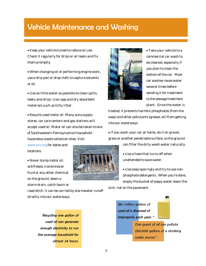# Vehicle Maintenance and Washing

• Keep your vehicle tuned to reduce oil use. Check it regularly for drips or oil leaks and fix them promptly.

• When changing oil or performing engine work, use a drip pan or drop cloth to capture solvents or oil.

• Use as little water as possible to clean spills, leaks and drips. Use rags and dry absorbent materials such as kitty litter.

• Recycle used motor oil. Many auto supply stores, car care centers and gas stations will accept used oil. Motor oil can also be taken to one of Southwestern Pennsylvania's household hazardous waste collection sites. Visit

www.prc.org for dates and locations.

• Never dump motor oil, antifreeze, transmission fluid or any other chemical on the ground, down a storm drain, catch basin or





• Take your vehicle to a commercial car wash to be cleaned, especially if you plan to clean the bottom of the car. Most car washes reuse water several times before sending it for treatment to the sewage treatment plant. Since the water is

treated, it prevents harmful phosphates (from the soap) and other pollutants (grease, oil) from getting into our waterways.

• If you wash your car at home, do it on gravel, grass or another penetrable surface, so the ground

can filter the dirty wash water naturally.

- Use a hose that turns off when unattended to save water.
- Use soap sparingly and try to use nonphosphate detergents. When you're done, empty the bucket of soapy water down the

sink, not on the pavement.

road ditch. It can be carried by stormwater runoff directly into our waterways.

> Recyclin<mark>g one gallon of the controller of the symptoperly each year. \*</mark> used oil can generate enough electricity to run the average household for almost 24 hours.

180 million gallons of used oil is disposed of



One quart of oil can pollute 250,000 gallons of a drinking water source.\*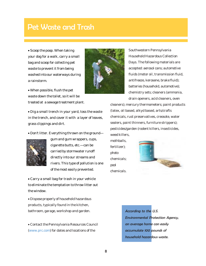## Pet Waste and Trash

• Scoop the poop. When taking your dog for a walk, carry a small bag and scoop for collecting pet waste to prevent it from being washed into our waterways during a rainstorm.

Southwestern Pennsylvania Household Hazardous Collection Days. The following materials are accepted: aerosol cans; automotive fluids (motor oil, transmission fluid, antifreeze, kerosene, brake fluid); batteries (household, automotive); chemistry sets; cleaners (ammonia, drain openers, acid cleaners, oven

cleaners); mercury thermometers; paint products (latex, oil based, alkyd based, arts/crafts chemicals, rust preservatives, creosote, water sealers, paint thinners, furniture strippers); pesticides/garden (rodent killers, insecticides,

mothballs, fertilizer); photo chemicals; pool chemicals.

weed killers,



According to the U.S. Environmental Protection Agency, an average home can easily accumulate 100 pounds of household hazardous waste.

• When possible, flush the pet waste down the toilet, so it will be treated at a sewage treatment plant.

• Dig a small trench in your yard, toss the waste in the trench, and cover it with a layer of leaves, grass clippings and dirt.

• Don't litter. Everything thrown on the ground—



gum and gum wrappers, cups, cigarette butts, etc.—can be carried by stormwater runoff directly into our streams and rivers. This type of pollution is one of the most easily prevented.

• Carry a small bag for trash in your vehicle to eliminate the temptation to throw litter out the window.

• Dispose properly of household hazardous products, typically found in the kitchen, bathroom, garage, workshop and garden.

• Contact the Pennsylvania Resources Council (www.prc.com) for dates and locations of the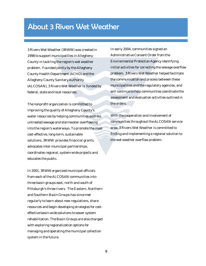### About 3 Rivers Wet Weather

3 Rivers Wet Weather (3RWW) was created in 1998 to support municipalities in Allegheny County in tackling the region's wet weather problem. Founded jointly by the Allegheny County Health Department (ACHD) and the Allegheny County Sanitary Authority (ALCOSAN), 3 Rivers Wet Weather is funded by federal, state and local resources.

The nonprofit organization is committed to improving the quality of Allegheny County's water resources by helping communities address untreated sewage and stormwater overflowing into the region's waterways. To promote the most cost-effective, long-term, sustainable solutions, 3RWW provides financial grants, advocates inter-municipal partnerships, coordinates regional, system-wide projects and educates the public.

In 2001, 3RWW organized municipal officials from each of the ALCOSAN communities into three basin groups east, north and south of Pittsburgh's three rivers. The Eastern, Northern and Southern Basin Groups has since met regularly to learn about new regulations, share resources and begin developing strategies for costeffective basin-wide solutions to sewer system rehabilitation. The Basin Groups are also charged with exploring regionalization options for managing and operating the municipal collection system in the future.

In early 2004, communities signed an Administrative Consent Order from the Environmental Protection Agency identifying initial activities for correcting the sewage overflow problem. 3 Rivers Wet Weather helped facilitate the communication and process between these municipalities and the regulatory agencies, and will continue to help communities coordinate the assessment and evaluation activities outlined in the orders.

With the cooperation and involvement of communities throughout the ALCOSAN service area, 3 Rivers Wet Weather is committed to finding and implementing a regional solution to the wet weather overflow problem.